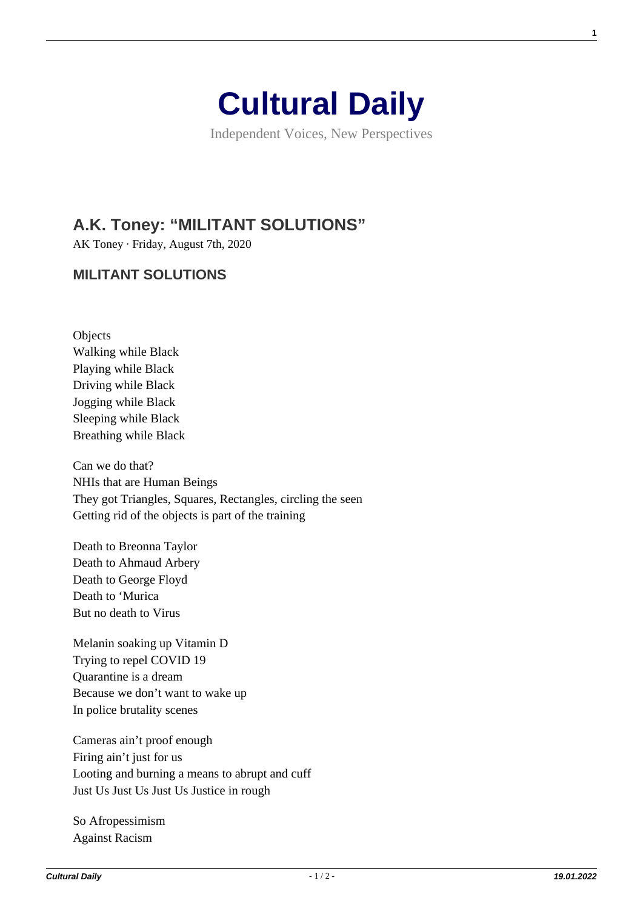

Independent Voices, New Perspectives

## **[A.K. Toney: "MILITANT SOLUTIONS"](https://culturaldaily.com/a-k-toney-militant-solutions/)**

AK Toney · Friday, August 7th, 2020

## **MILITANT SOLUTIONS**

Objects Walking while Black Playing while Black Driving while Black Jogging while Black Sleeping while Black Breathing while Black

Can we do that? NHIs that are Human Beings They got Triangles, Squares, Rectangles, circling the seen Getting rid of the objects is part of the training

Death to Breonna Taylor Death to Ahmaud Arbery Death to George Floyd Death to 'Murica But no death to Virus

Melanin soaking up Vitamin D Trying to repel COVID 19 Quarantine is a dream Because we don't want to wake up In police brutality scenes

Cameras ain't proof enough Firing ain't just for us Looting and burning a means to abrupt and cuff Just Us Just Us Just Us Justice in rough

So Afropessimism Against Racism

**1**